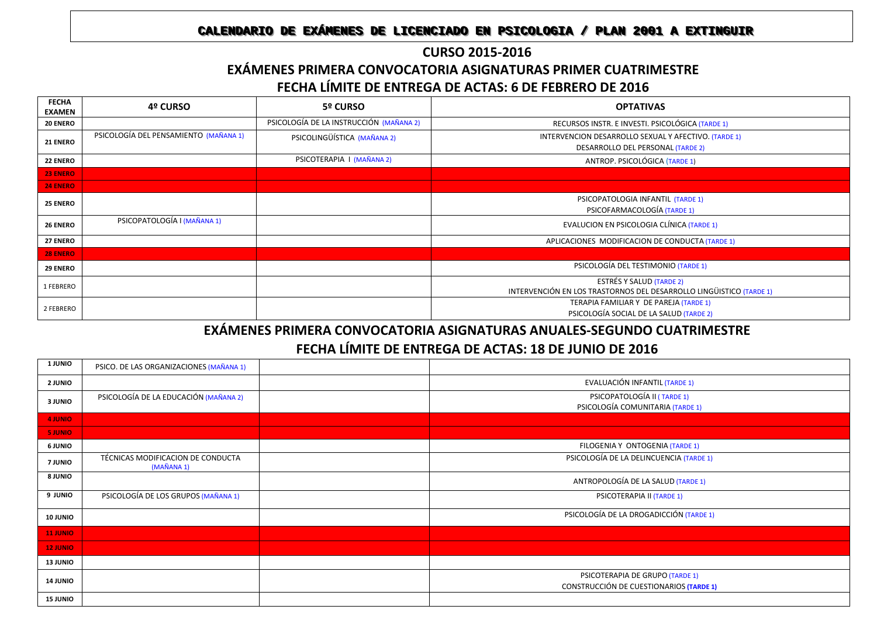#### CALENDARIO DE EXÁMENES DE LICENCIADO EN PSICOLOGIA / PLAN 2001 A EXTINGUIR

## **CURSO 2015-2016 EXÁMENES PRIMERA CONVOCATORIA ASIGNATURAS PRIMER CUATRIMESTRE FECHA LÍMITE DE ENTREGA DE ACTAS: 6 DE FEBRERO DE 2016**

| <b>FECHA</b><br><b>EXAMEN</b> | 4º CURSO                              | 5º CURSO                                | <b>OPTATIVAS</b>                                                    |
|-------------------------------|---------------------------------------|-----------------------------------------|---------------------------------------------------------------------|
| <b>20 ENERO</b>               |                                       | PSICOLOGÍA DE LA INSTRUCCIÓN (MAÑANA 2) | RECURSOS INSTR. E INVESTI. PSICOLÓGICA (TARDE 1)                    |
| <b>21 ENERO</b>               | PSICOLOGÍA DEL PENSAMIENTO (MAÑANA 1) | PSICOLINGÜÍSTICA (MAÑANA 2)             | INTERVENCION DESARROLLO SEXUAL Y AFECTIVO. (TARDE 1)                |
|                               |                                       |                                         | DESARROLLO DEL PERSONAL (TARDE 2)                                   |
| <b>22 ENERO</b>               |                                       | PSICOTERAPIA I (MAÑANA 2)               | ANTROP. PSICOLÓGICA (TARDE 1)                                       |
| <b>23 ENERO</b>               |                                       |                                         |                                                                     |
| <b>24 ENERO</b>               |                                       |                                         |                                                                     |
| <b>25 ENERO</b>               |                                       |                                         | PSICOPATOLOGIA INFANTIL (TARDE 1)                                   |
|                               |                                       |                                         | PSICOFARMACOLOGÍA (TARDE 1)                                         |
| <b>26 ENERO</b>               | PSICOPATOLOGÍA I (MAÑANA 1)           |                                         | EVALUCION EN PSICOLOGIA CLÍNICA (TARDE 1)                           |
| <b>27 ENERO</b>               |                                       |                                         | APLICACIONES MODIFICACION DE CONDUCTA (TARDE 1)                     |
| <b>28 ENERO</b>               |                                       |                                         |                                                                     |
| <b>29 ENERO</b>               |                                       |                                         | PSICOLOGÍA DEL TESTIMONIO (TARDE 1)                                 |
| 1 FEBRERO                     |                                       |                                         | <b>ESTRÉS Y SALUD (TARDE 2)</b>                                     |
|                               |                                       |                                         | INTERVENCIÓN EN LOS TRASTORNOS DEL DESARROLLO LINGÜISTICO (TARDE 1) |
| 2 FEBRERO                     |                                       |                                         | TERAPIA FAMILIAR Y DE PAREJA (TARDE 1)                              |
|                               |                                       |                                         | PSICOLOGÍA SOCIAL DE LA SALUD (TARDE 2)                             |

### **EXÁMENES PRIMERA CONVOCATORIA ASIGNATURAS ANUALES-SEGUNDO CUATRIMESTRE**

#### **FECHA LÍMITE DE ENTREGA DE ACTAS: 18 DE JUNIO DE 2016**

| 1 JUNIO         | PSICO. DE LAS ORGANIZACIONES (MAÑANA 1)         |                                                                                   |
|-----------------|-------------------------------------------------|-----------------------------------------------------------------------------------|
| <b>2 JUNIO</b>  |                                                 | EVALUACIÓN INFANTIL (TARDE 1)                                                     |
| 3 JUNIO         | PSICOLOGÍA DE LA EDUCACIÓN (MAÑANA 2)           | PSICOPATOLOGÍA II (TARDE 1)<br>PSICOLOGÍA COMUNITARIA (TARDE 1)                   |
| 4 JUNIO         |                                                 |                                                                                   |
| <b>5 JUNIO</b>  |                                                 |                                                                                   |
| <b>6 JUNIO</b>  |                                                 | FILOGENIA Y ONTOGENIA (TARDE 1)                                                   |
| 7 JUNIO         | TÉCNICAS MODIFICACION DE CONDUCTA<br>(MAÑANA 1) | PSICOLOGÍA DE LA DELINCUENCIA (TARDE 1)                                           |
| <b>8 JUNIO</b>  |                                                 | ANTROPOLOGÍA DE LA SALUD (TARDE 1)                                                |
| <b>OINUL 6</b>  | PSICOLOGÍA DE LOS GRUPOS (MAÑANA 1)             | PSICOTERAPIA II (TARDE 1)                                                         |
| <b>10 JUNIO</b> |                                                 | PSICOLOGÍA DE LA DROGADICCIÓN (TARDE 1)                                           |
| <b>11 JUNIO</b> |                                                 |                                                                                   |
| <b>12 JUNIO</b> |                                                 |                                                                                   |
| <b>13 JUNIO</b> |                                                 |                                                                                   |
| <b>14 JUNIO</b> |                                                 | PSICOTERAPIA DE GRUPO (TARDE 1)<br><b>CONSTRUCCIÓN DE CUESTIONARIOS (TARDE 1)</b> |
| <b>15 JUNIO</b> |                                                 |                                                                                   |